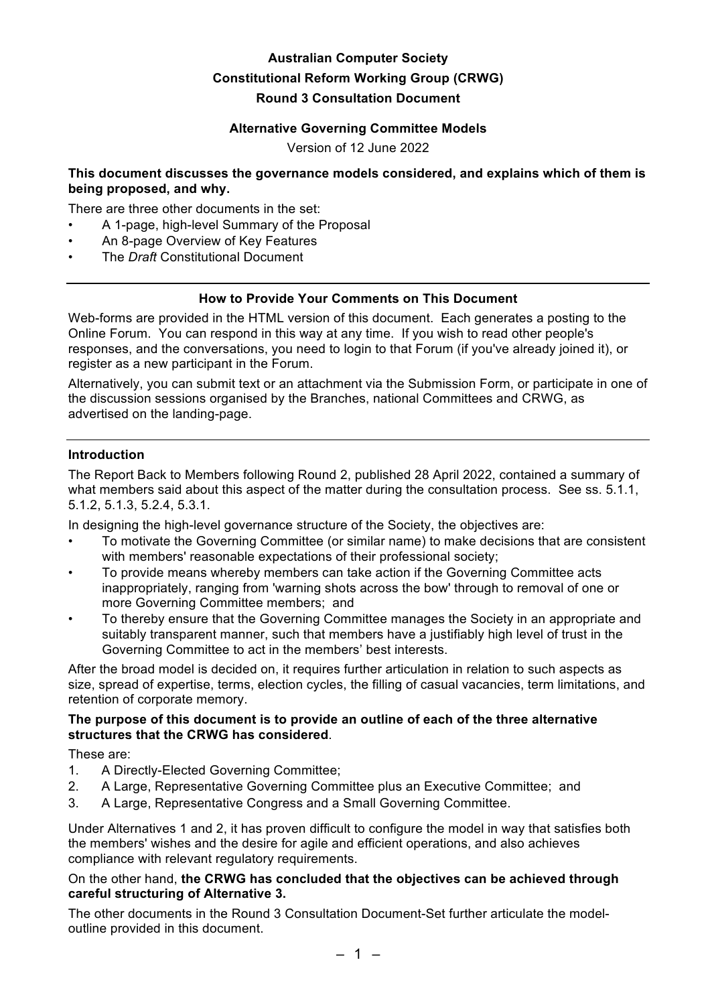# **Australian Computer Society Constitutional Reform Working Group (CRWG) Round 3 Consultation Document**

#### **Alternative Governing Committee Models**

Version of 12 June 2022

#### **This document discusses the governance models considered, and explains which of them is being proposed, and why.**

There are three other documents in the set:

- A 1-page, high-level Summary of the Proposal
- An 8-page Overview of Key Features
- The *Draft* Constitutional Document

### **How to Provide Your Comments on This Document**

Web-forms are provided in the HTML version of this document. Each generates a posting to the Online Forum. You can respond in this way at any time. If you wish to read other people's responses, and the conversations, you need to login to that Forum (if you've already joined it), or register as a new participant in the Forum.

Alternatively, you can submit text or an attachment via the Submission Form, or participate in one of the discussion sessions organised by the Branches, national Committees and CRWG, as advertised on the landing-page.

#### **Introduction**

The Report Back to Members following Round 2, published 28 April 2022, contained a summary of what members said about this aspect of the matter during the consultation process. See ss. 5.1.1, 5.1.2, 5.1.3, 5.2.4, 5.3.1.

In designing the high-level governance structure of the Society, the objectives are:

- To motivate the Governing Committee (or similar name) to make decisions that are consistent with members' reasonable expectations of their professional society;
- To provide means whereby members can take action if the Governing Committee acts inappropriately, ranging from 'warning shots across the bow' through to removal of one or more Governing Committee members; and
- To thereby ensure that the Governing Committee manages the Society in an appropriate and suitably transparent manner, such that members have a justifiably high level of trust in the Governing Committee to act in the members' best interests.

After the broad model is decided on, it requires further articulation in relation to such aspects as size, spread of expertise, terms, election cycles, the filling of casual vacancies, term limitations, and retention of corporate memory.

#### **The purpose of this document is to provide an outline of each of the three alternative structures that the CRWG has considered**.

These are:

- 1. A Directly-Elected Governing Committee;
- 2. A Large, Representative Governing Committee plus an Executive Committee; and
- 3. A Large, Representative Congress and a Small Governing Committee.

Under Alternatives 1 and 2, it has proven difficult to configure the model in way that satisfies both the members' wishes and the desire for agile and efficient operations, and also achieves compliance with relevant regulatory requirements.

#### On the other hand, **the CRWG has concluded that the objectives can be achieved through careful structuring of Alternative 3.**

The other documents in the Round 3 Consultation Document-Set further articulate the modeloutline provided in this document.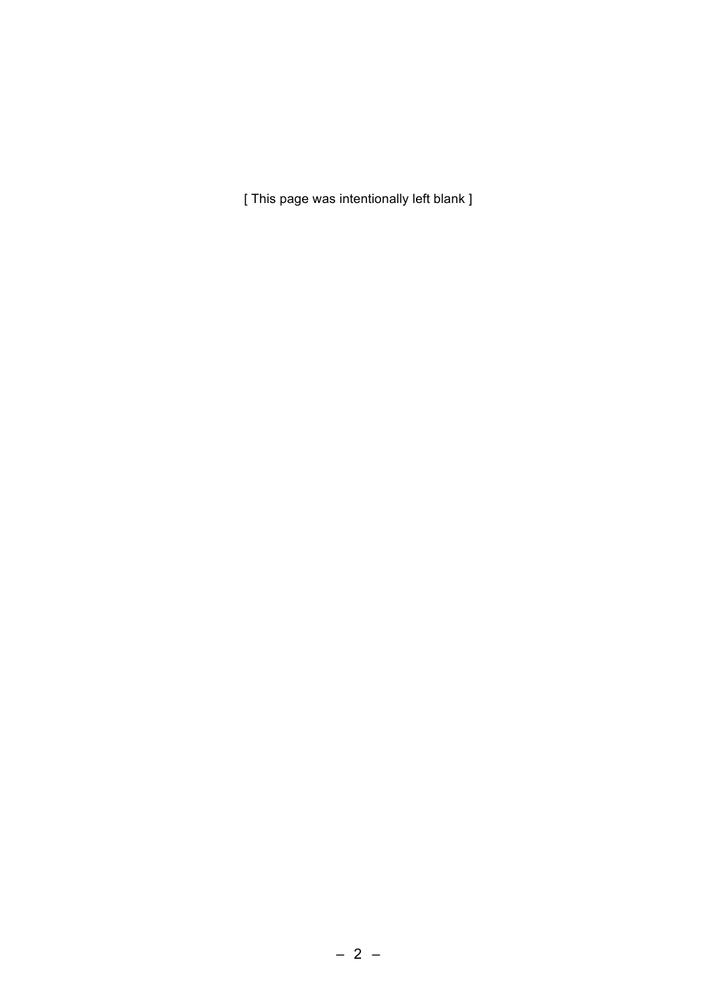[ This page was intentionally left blank ]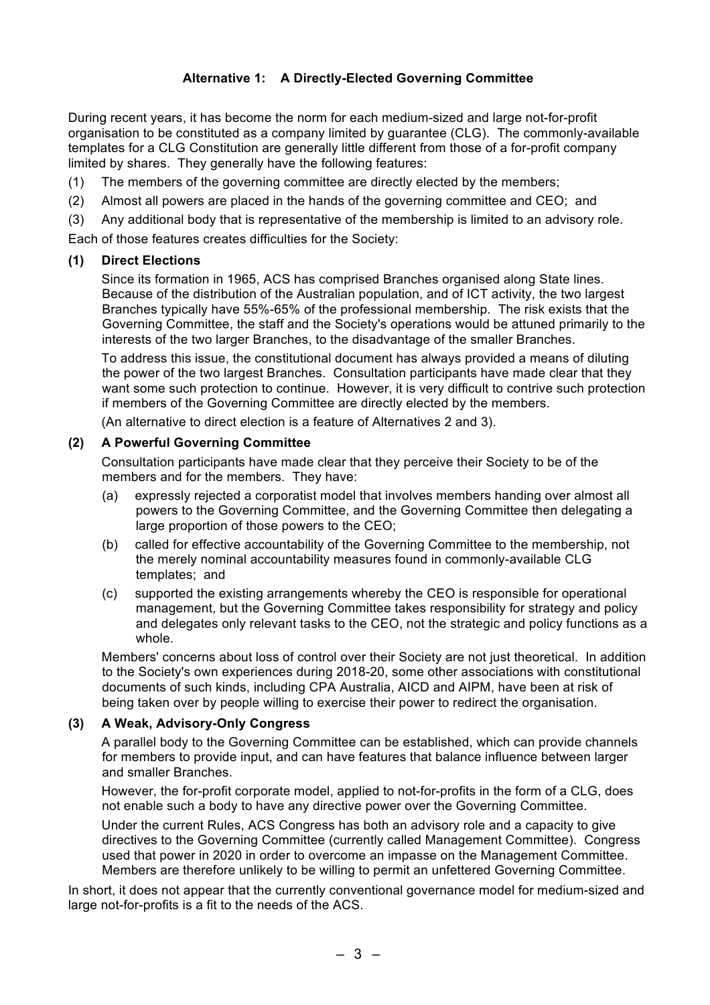# **Alternative 1: A Directly-Elected Governing Committee**

During recent years, it has become the norm for each medium-sized and large not-for-profit organisation to be constituted as a company limited by guarantee (CLG). The commonly-available templates for a CLG Constitution are generally little different from those of a for-profit company limited by shares. They generally have the following features:

- (1) The members of the governing committee are directly elected by the members;
- (2) Almost all powers are placed in the hands of the governing committee and CEO; and
- (3) Any additional body that is representative of the membership is limited to an advisory role.

Each of those features creates difficulties for the Society:

#### **(1) Direct Elections**

Since its formation in 1965, ACS has comprised Branches organised along State lines. Because of the distribution of the Australian population, and of ICT activity, the two largest Branches typically have 55%-65% of the professional membership. The risk exists that the Governing Committee, the staff and the Society's operations would be attuned primarily to the interests of the two larger Branches, to the disadvantage of the smaller Branches.

To address this issue, the constitutional document has always provided a means of diluting the power of the two largest Branches. Consultation participants have made clear that they want some such protection to continue. However, it is very difficult to contrive such protection if members of the Governing Committee are directly elected by the members.

(An alternative to direct election is a feature of Alternatives 2 and 3).

#### **(2) A Powerful Governing Committee**

Consultation participants have made clear that they perceive their Society to be of the members and for the members. They have:

- (a) expressly rejected a corporatist model that involves members handing over almost all powers to the Governing Committee, and the Governing Committee then delegating a large proportion of those powers to the CEO;
- (b) called for effective accountability of the Governing Committee to the membership, not the merely nominal accountability measures found in commonly-available CLG templates; and
- (c) supported the existing arrangements whereby the CEO is responsible for operational management, but the Governing Committee takes responsibility for strategy and policy and delegates only relevant tasks to the CEO, not the strategic and policy functions as a whole.

Members' concerns about loss of control over their Society are not just theoretical. In addition to the Society's own experiences during 2018-20, some other associations with constitutional documents of such kinds, including CPA Australia, AICD and AIPM, have been at risk of being taken over by people willing to exercise their power to redirect the organisation.

## **(3) A Weak, Advisory-Only Congress**

A parallel body to the Governing Committee can be established, which can provide channels for members to provide input, and can have features that balance influence between larger and smaller Branches.

However, the for-profit corporate model, applied to not-for-profits in the form of a CLG, does not enable such a body to have any directive power over the Governing Committee.

Under the current Rules, ACS Congress has both an advisory role and a capacity to give directives to the Governing Committee (currently called Management Committee). Congress used that power in 2020 in order to overcome an impasse on the Management Committee. Members are therefore unlikely to be willing to permit an unfettered Governing Committee.

In short, it does not appear that the currently conventional governance model for medium-sized and large not-for-profits is a fit to the needs of the ACS.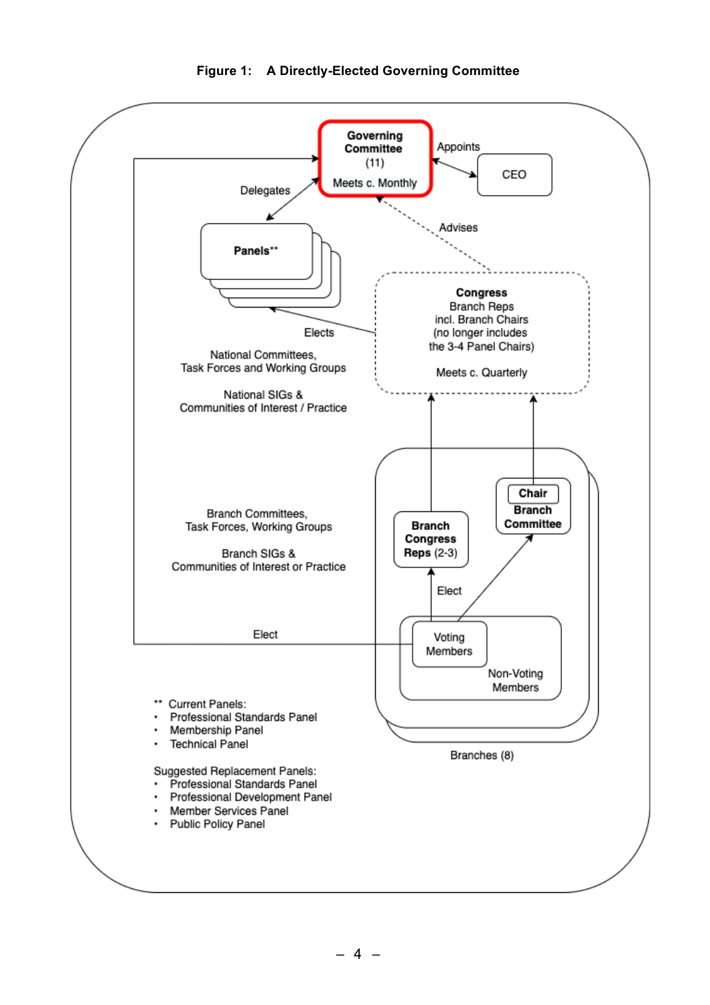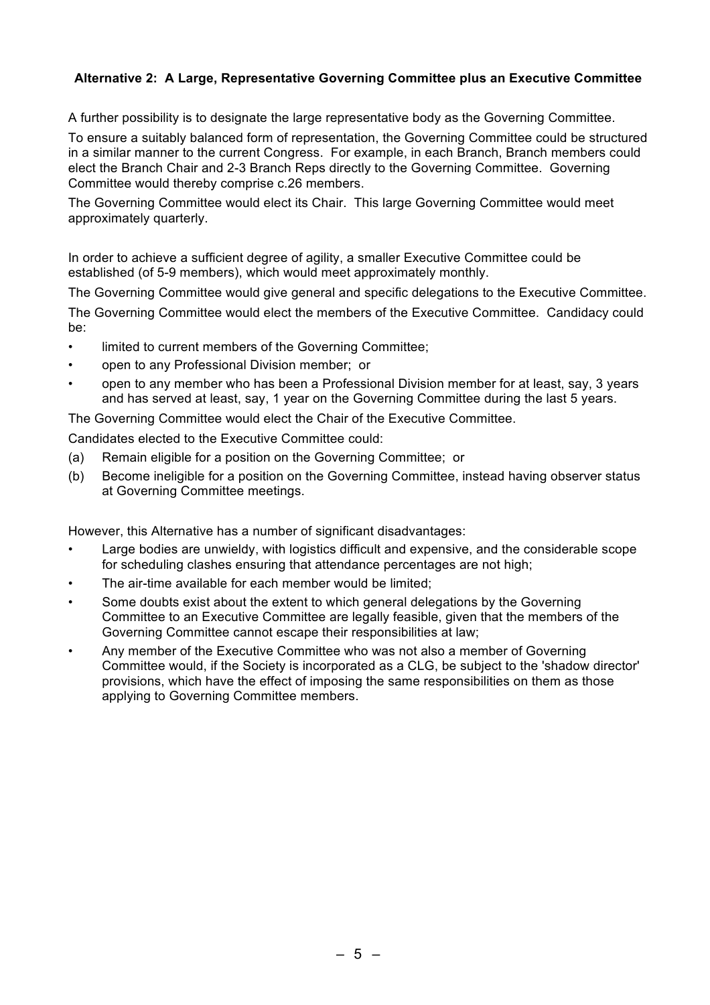# **Alternative 2: A Large, Representative Governing Committee plus an Executive Committee**

A further possibility is to designate the large representative body as the Governing Committee.

To ensure a suitably balanced form of representation, the Governing Committee could be structured in a similar manner to the current Congress. For example, in each Branch, Branch members could elect the Branch Chair and 2-3 Branch Reps directly to the Governing Committee. Governing Committee would thereby comprise c.26 members.

The Governing Committee would elect its Chair. This large Governing Committee would meet approximately quarterly.

In order to achieve a sufficient degree of agility, a smaller Executive Committee could be established (of 5-9 members), which would meet approximately monthly.

The Governing Committee would give general and specific delegations to the Executive Committee. The Governing Committee would elect the members of the Executive Committee. Candidacy could be:

- limited to current members of the Governing Committee;
- open to any Professional Division member; or
- open to any member who has been a Professional Division member for at least, say, 3 years and has served at least, say, 1 year on the Governing Committee during the last 5 years.

The Governing Committee would elect the Chair of the Executive Committee.

Candidates elected to the Executive Committee could:

- (a) Remain eligible for a position on the Governing Committee; or
- (b) Become ineligible for a position on the Governing Committee, instead having observer status at Governing Committee meetings.

However, this Alternative has a number of significant disadvantages:

- Large bodies are unwieldy, with logistics difficult and expensive, and the considerable scope for scheduling clashes ensuring that attendance percentages are not high;
- The air-time available for each member would be limited:
- Some doubts exist about the extent to which general delegations by the Governing Committee to an Executive Committee are legally feasible, given that the members of the Governing Committee cannot escape their responsibilities at law;
- Any member of the Executive Committee who was not also a member of Governing Committee would, if the Society is incorporated as a CLG, be subject to the 'shadow director' provisions, which have the effect of imposing the same responsibilities on them as those applying to Governing Committee members.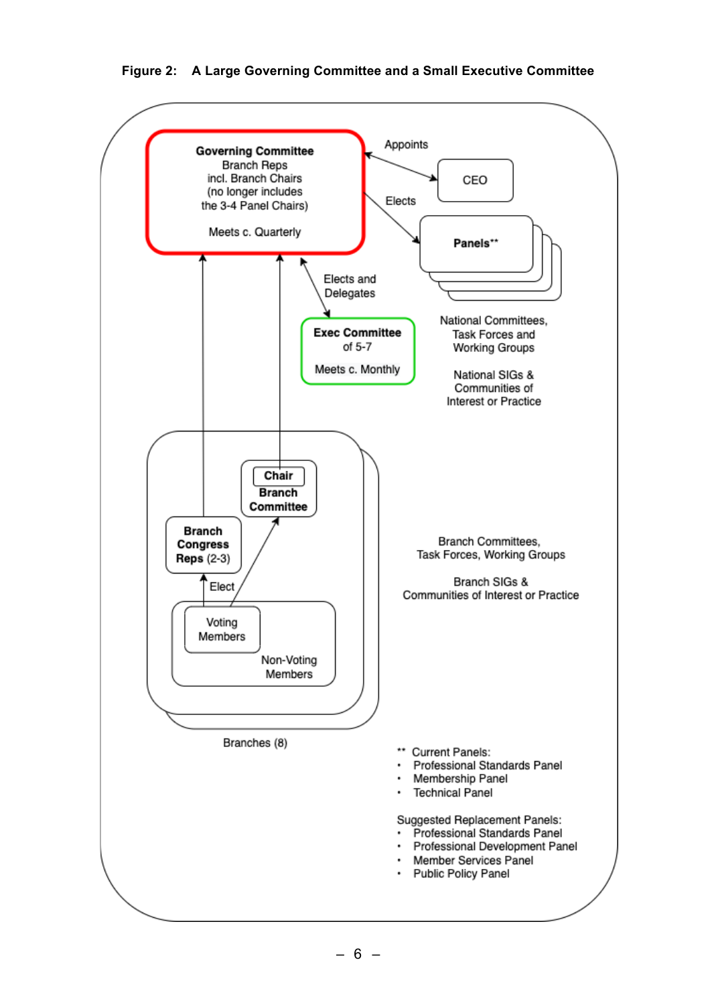

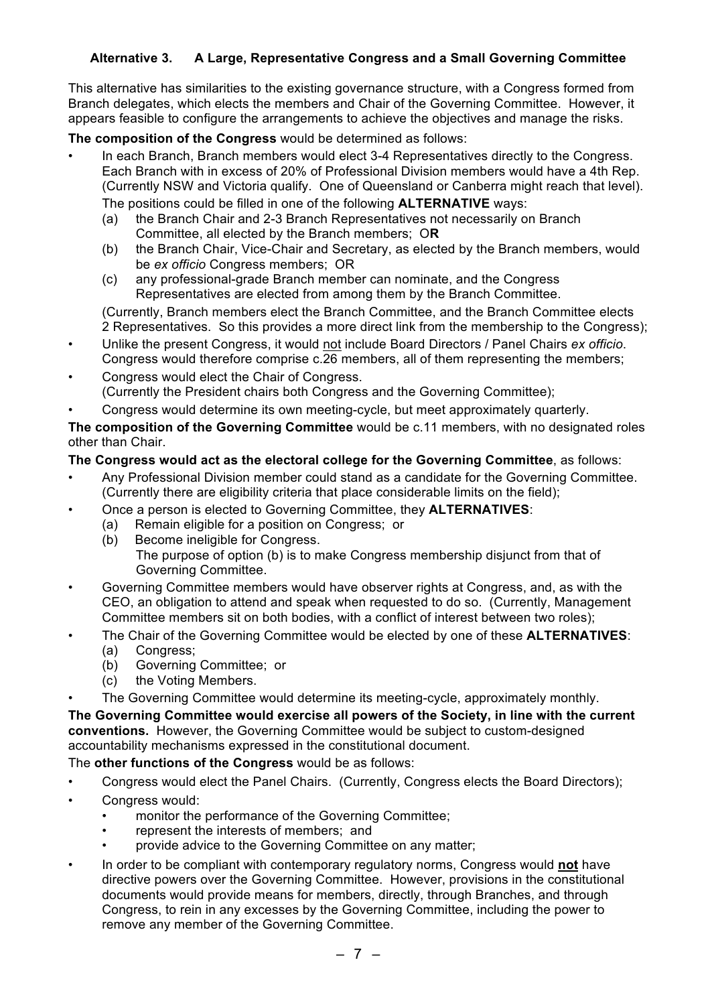# **Alternative 3. A Large, Representative Congress and a Small Governing Committee**

This alternative has similarities to the existing governance structure, with a Congress formed from Branch delegates, which elects the members and Chair of the Governing Committee. However, it appears feasible to configure the arrangements to achieve the objectives and manage the risks.

**The composition of the Congress** would be determined as follows:

- In each Branch, Branch members would elect 3-4 Representatives directly to the Congress. Each Branch with in excess of 20% of Professional Division members would have a 4th Rep. (Currently NSW and Victoria qualify. One of Queensland or Canberra might reach that level). The positions could be filled in one of the following **ALTERNATIVE** ways:
	- (a) the Branch Chair and 2-3 Branch Representatives not necessarily on Branch Committee, all elected by the Branch members; O**R**
	- (b) the Branch Chair, Vice-Chair and Secretary, as elected by the Branch members, would be *ex officio* Congress members; OR
	- (c) any professional-grade Branch member can nominate, and the Congress Representatives are elected from among them by the Branch Committee.

(Currently, Branch members elect the Branch Committee, and the Branch Committee elects 2 Representatives. So this provides a more direct link from the membership to the Congress);

- Unlike the present Congress, it would not include Board Directors / Panel Chairs *ex officio*. Congress would therefore comprise c.26 members, all of them representing the members;
- Congress would elect the Chair of Congress. (Currently the President chairs both Congress and the Governing Committee);
- Congress would determine its own meeting-cycle, but meet approximately quarterly.

**The composition of the Governing Committee** would be c.11 members, with no designated roles other than Chair.

### **The Congress would act as the electoral college for the Governing Committee**, as follows:

- Any Professional Division member could stand as a candidate for the Governing Committee. (Currently there are eligibility criteria that place considerable limits on the field);
- Once a person is elected to Governing Committee, they **ALTERNATIVES**:
	- (a) Remain eligible for a position on Congress; or
	- (b) Become ineligible for Congress.

The purpose of option (b) is to make Congress membership disjunct from that of Governing Committee.

- Governing Committee members would have observer rights at Congress, and, as with the CEO, an obligation to attend and speak when requested to do so. (Currently, Management Committee members sit on both bodies, with a conflict of interest between two roles);
- The Chair of the Governing Committee would be elected by one of these **ALTERNATIVES**:
	- (a) Congress;
	- (b) Governing Committee; or
	- (c) the Voting Members.
- The Governing Committee would determine its meeting-cycle, approximately monthly.

**The Governing Committee would exercise all powers of the Society, in line with the current conventions.** However, the Governing Committee would be subject to custom-designed accountability mechanisms expressed in the constitutional document.

## The **other functions of the Congress** would be as follows:

- Congress would elect the Panel Chairs. (Currently, Congress elects the Board Directors);
- Congress would:
	- monitor the performance of the Governing Committee;
	- represent the interests of members; and
	- provide advice to the Governing Committee on any matter;
- In order to be compliant with contemporary regulatory norms, Congress would **not** have directive powers over the Governing Committee. However, provisions in the constitutional documents would provide means for members, directly, through Branches, and through Congress, to rein in any excesses by the Governing Committee, including the power to remove any member of the Governing Committee.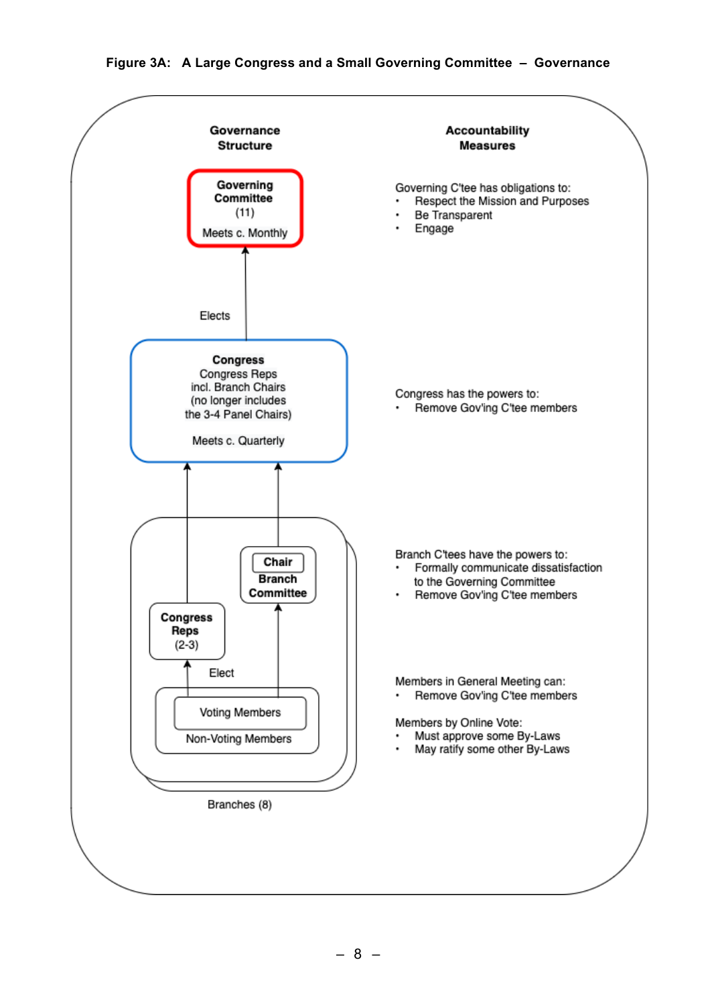#### Figure 3A: A Large Congress and a Small Governing Committee - Governance